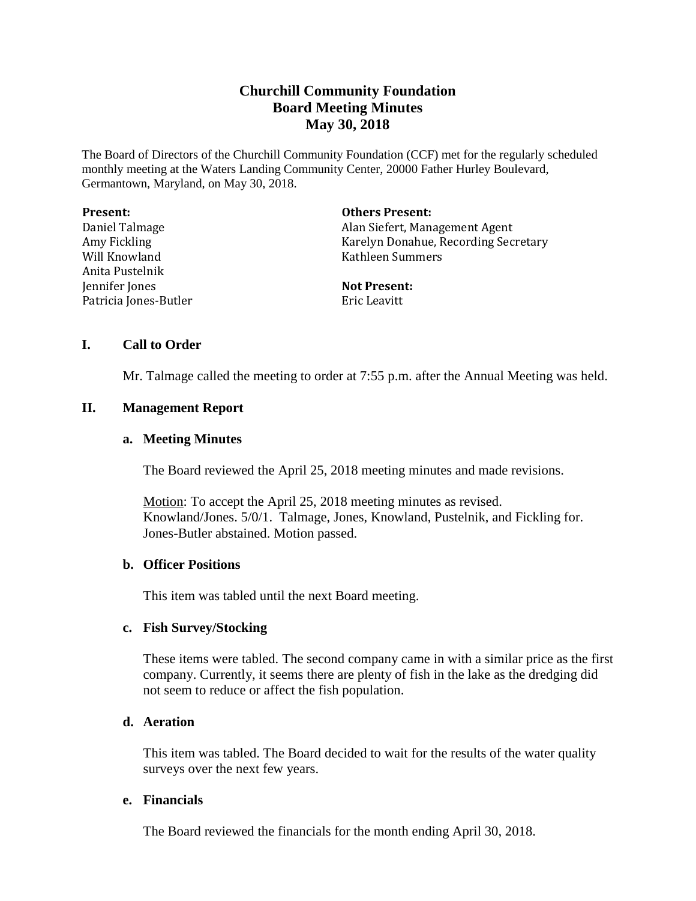# **Churchill Community Foundation Board Meeting Minutes May 30, 2018**

The Board of Directors of the Churchill Community Foundation (CCF) met for the regularly scheduled monthly meeting at the Waters Landing Community Center, 20000 Father Hurley Boulevard, Germantown, Maryland, on May 30, 2018.

| <b>Present:</b>       | <b>Others Present:</b>               |
|-----------------------|--------------------------------------|
| Daniel Talmage        | Alan Siefert, Management Agent       |
| Amy Fickling          | Karelyn Donahue, Recording Secretary |
| Will Knowland         | Kathleen Summers                     |
| Anita Pustelnik       |                                      |
| Jennifer Jones        | <b>Not Present:</b>                  |
| Patricia Jones-Butler | Eric Leavitt                         |

## **I. Call to Order**

Mr. Talmage called the meeting to order at 7:55 p.m. after the Annual Meeting was held.

## **II. Management Report**

## **a. Meeting Minutes**

The Board reviewed the April 25, 2018 meeting minutes and made revisions.

Motion: To accept the April 25, 2018 meeting minutes as revised. Knowland/Jones. 5/0/1. Talmage, Jones, Knowland, Pustelnik, and Fickling for. Jones-Butler abstained. Motion passed.

## **b. Officer Positions**

This item was tabled until the next Board meeting.

## **c. Fish Survey/Stocking**

These items were tabled. The second company came in with a similar price as the first company. Currently, it seems there are plenty of fish in the lake as the dredging did not seem to reduce or affect the fish population.

# **d. Aeration**

This item was tabled. The Board decided to wait for the results of the water quality surveys over the next few years.

## **e. Financials**

The Board reviewed the financials for the month ending April 30, 2018.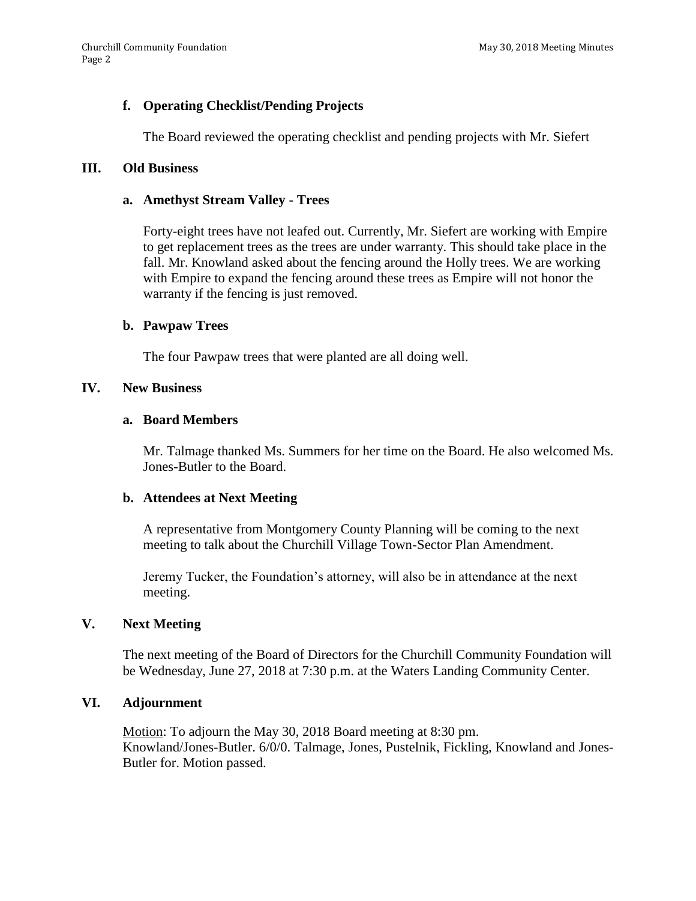# **f. Operating Checklist/Pending Projects**

The Board reviewed the operating checklist and pending projects with Mr. Siefert

#### **III. Old Business**

#### **a. Amethyst Stream Valley - Trees**

Forty-eight trees have not leafed out. Currently, Mr. Siefert are working with Empire to get replacement trees as the trees are under warranty. This should take place in the fall. Mr. Knowland asked about the fencing around the Holly trees. We are working with Empire to expand the fencing around these trees as Empire will not honor the warranty if the fencing is just removed.

## **b. Pawpaw Trees**

The four Pawpaw trees that were planted are all doing well.

#### **IV. New Business**

#### **a. Board Members**

Mr. Talmage thanked Ms. Summers for her time on the Board. He also welcomed Ms. Jones-Butler to the Board.

## **b. Attendees at Next Meeting**

A representative from Montgomery County Planning will be coming to the next meeting to talk about the Churchill Village Town-Sector Plan Amendment.

Jeremy Tucker, the Foundation's attorney, will also be in attendance at the next meeting.

## **V. Next Meeting**

The next meeting of the Board of Directors for the Churchill Community Foundation will be Wednesday, June 27, 2018 at 7:30 p.m. at the Waters Landing Community Center.

#### **VI. Adjournment**

Motion: To adjourn the May 30, 2018 Board meeting at 8:30 pm. Knowland/Jones-Butler. 6/0/0. Talmage, Jones, Pustelnik, Fickling, Knowland and Jones-Butler for. Motion passed.